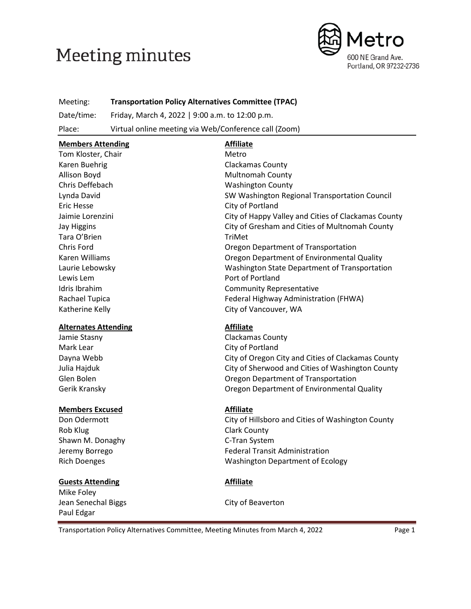# **Meeting minutes**



# Meeting: **Transportation Policy Alternatives Committee (TPAC)**

Date/time: Friday, March 4, 2022 | 9:00 a.m. to 12:00 p.m.

Place: Virtual online meeting via Web/Conference call (Zoom)

# **Members Attending Affiliate** Tom Kloster, Chair Metro Karen Buehrig Clackamas County Allison Boyd **Multnomah County** Chris Deffebach Washington County Lynda David SW Washington Regional Transportation Council Eric Hesse City of Portland Jaimie Lorenzini City of Happy Valley and Cities of Clackamas County Jay Higgins **City of Gresham and Cities of Multnomah County** Tara O'Brien TriMet Chris Ford Oregon Department of Transportation Karen Williams **Caren Communist Communist Communist Communist Communist Communist Communist Communist Communist Communist Communist Communist Communist Communist Communist Communist Communist Communist Communist Communist** Laurie Lebowsky Washington State Department of Transportation Lewis Lem **Port of Portland** Idris Ibrahim Community Representative Rachael Tupica **Federal Highway Administration (FHWA)** Federal Highway Administration (FHWA) Katherine Kelly **City of Vancouver, WA Alternates Attending Affiliate** Jamie Stasny **Clackamas County**

Mark Lear City of Portland

# **Members Excused Affiliate**

Rob Klug **Clark County** Shawn M. Donaghy C-Tran System

# **Guests Attending Affiliate**

Mike Foley Jean Senechal Biggs **City of Beaverton** Paul Edgar

Dayna Webb City of Oregon City and Cities of Clackamas County Julia Hajduk City of Sherwood and Cities of Washington County Glen Bolen **Container Container Container Container** Oregon Department of Transportation Gerik Kransky Oregon Department of Environmental Quality

Don Odermott **City of Hillsboro and Cities of Washington County** Jeremy Borrego Federal Transit Administration Rich Doenges Washington Department of Ecology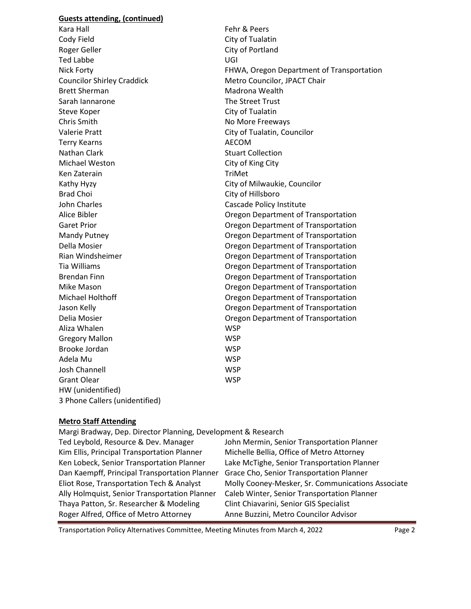#### **Guests attending, (continued)**

Kara Hall Fehr & Peers Cody Field Cody Field Roger Geller **City of Portland** Ted Labbe UGI Councilor Shirley Craddick Metro Councilor, JPACT Chair Brett Sherman Madrona Wealth Sarah Iannarone The Street Trust Steve Koper **City of Tualatin** Chris Smith No More Freeways Valerie Pratt **Valerie Pratt** City of Tualatin, Councilor Terry Kearns **AECOM** Nathan Clark **Stuart Collection** Michael Weston **City of King City** Ken Zaterain TriMet Kathy Hyzy **City of Milwaukie, Councilor** Brad Choi **City of Hillsboro** John Charles **Cascade Policy Institute** Aliza Whalen WSP Gregory Mallon WSP Brooke Jordan WSP Adela Mu WSP Josh Channell WSP Grant Olear WSP HW (unidentified) 3 Phone Callers (unidentified)

Nick Forty FHWA, Oregon Department of Transportation Alice Bibler Oregon Department of Transportation Garet Prior **Caret Prior** Cregon Department of Transportation Mandy Putney Oregon Department of Transportation Della Mosier Oregon Department of Transportation Rian Windsheimer Oregon Department of Transportation Tia Williams Oregon Department of Transportation Brendan Finn Oregon Department of Transportation Mike Mason **Case Communist Communist Communist Communist Communist Communist Communist Communist Communist Communist Communist Communist Communist Communist Communist Communist Communist Communist Communist Communist Commu** Michael Holthoff Oregon Department of Transportation Jason Kelly Oregon Department of Transportation Delia Mosier Oregon Department of Transportation

#### **Metro Staff Attending**

| Margi Bradway, Dep. Director Planning, Development & Research |                                                   |
|---------------------------------------------------------------|---------------------------------------------------|
| Ted Leybold, Resource & Dev. Manager                          | John Mermin, Senior Transportation Planner        |
| Kim Ellis, Principal Transportation Planner                   | Michelle Bellia, Office of Metro Attorney         |
| Ken Lobeck, Senior Transportation Planner                     | Lake McTighe, Senior Transportation Planner       |
| Dan Kaempff, Principal Transportation Planner                 | Grace Cho, Senior Transportation Planner          |
| Eliot Rose, Transportation Tech & Analyst                     | Molly Cooney-Mesker, Sr. Communications Associate |
| Ally Holmquist, Senior Transportation Planner                 | Caleb Winter, Senior Transportation Planner       |
| Thaya Patton, Sr. Researcher & Modeling                       | Clint Chiavarini, Senior GIS Specialist           |
| Roger Alfred, Office of Metro Attorney                        | Anne Buzzini, Metro Councilor Advisor             |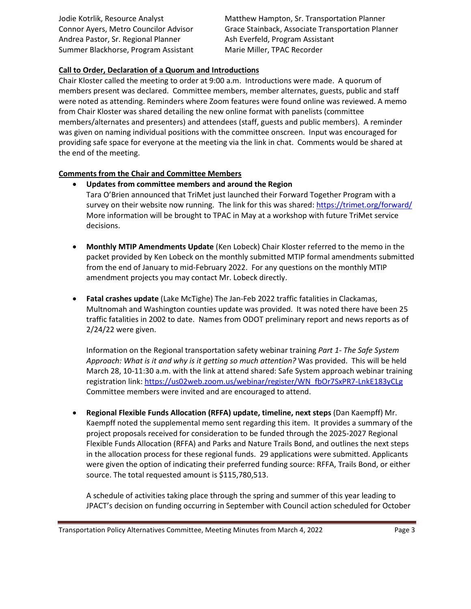Andrea Pastor, Sr. Regional Planner Ash Everfeld, Program Assistant Summer Blackhorse, Program Assistant Marie Miller, TPAC Recorder

Jodie Kotrlik, Resource Analyst Matthew Hampton, Sr. Transportation Planner Connor Ayers, Metro Councilor Advisor Grace Stainback, Associate Transportation Planner

# **Call to Order, Declaration of a Quorum and Introductions**

Chair Kloster called the meeting to order at 9:00 a.m. Introductions were made. A quorum of members present was declared. Committee members, member alternates, guests, public and staff were noted as attending. Reminders where Zoom features were found online was reviewed. A memo from Chair Kloster was shared detailing the new online format with panelists (committee members/alternates and presenters) and attendees (staff, guests and public members). A reminder was given on naming individual positions with the committee onscreen. Input was encouraged for providing safe space for everyone at the meeting via the link in chat. Comments would be shared at the end of the meeting.

### **Comments from the Chair and Committee Members**

- **Updates from committee members and around the Region** Tara O'Brien announced that TriMet just launched their Forward Together Program with a survey on their website now running. The link for this was shared:<https://trimet.org/forward/> More information will be brought to TPAC in May at a workshop with future TriMet service decisions.
- **Monthly MTIP Amendments Update** (Ken Lobeck) Chair Kloster referred to the memo in the packet provided by Ken Lobeck on the monthly submitted MTIP formal amendments submitted from the end of January to mid-February 2022. For any questions on the monthly MTIP amendment projects you may contact Mr. Lobeck directly.
- **Fatal crashes update** (Lake McTighe) The Jan-Feb 2022 traffic fatalities in Clackamas, Multnomah and Washington counties update was provided. It was noted there have been 25 traffic fatalities in 2002 to date. Names from ODOT preliminary report and news reports as of 2/24/22 were given.

Information on the Regional transportation safety webinar training *Part 1- The Safe System Approach: What is it and why is it getting so much attention?* Was provided. This will be held March 28, 10-11:30 a.m. with the link at attend shared: Safe System approach webinar training registration link: [https://us02web.zoom.us/webinar/register/WN\\_fbOr7SxPR7-LnkE183yCLg](https://us02web.zoom.us/webinar/register/WN_fbOr7SxPR7-LnkE183yCLg) Committee members were invited and are encouraged to attend.

• **Regional Flexible Funds Allocation (RFFA) update, timeline, next steps** (Dan Kaempff) Mr. Kaempff noted the supplemental memo sent regarding this item. It provides a summary of the project proposals received for consideration to be funded through the 2025-2027 Regional Flexible Funds Allocation (RFFA) and Parks and Nature Trails Bond, and outlines the next steps in the allocation process for these regional funds. 29 applications were submitted. Applicants were given the option of indicating their preferred funding source: RFFA, Trails Bond, or either source. The total requested amount is \$115,780,513.

A schedule of activities taking place through the spring and summer of this year leading to JPACT's decision on funding occurring in September with Council action scheduled for October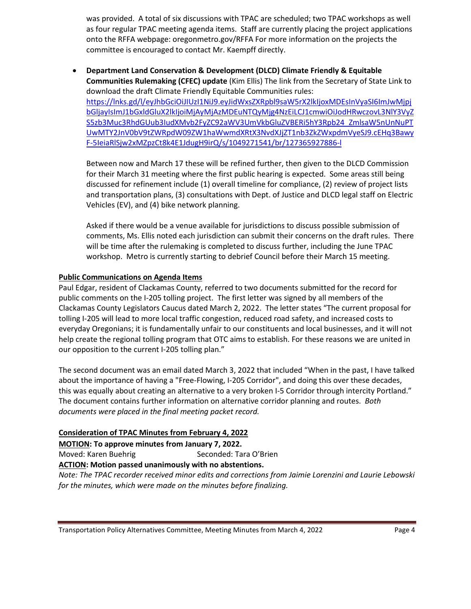was provided. A total of six discussions with TPAC are scheduled; two TPAC workshops as well as four regular TPAC meeting agenda items. Staff are currently placing the project applications onto the RFFA webpage: oregonmetro.gov/RFFA For more information on the projects the committee is encouraged to contact Mr. Kaempff directly.

• **Department Land Conservation & Development (DLCD) Climate Friendly & Equitable Communities Rulemaking (CFEC) update** (Kim Ellis) The link from the Secretary of State Link to download the draft Climate Friendly Equitable Communities rules: [https://lnks.gd/l/eyJhbGciOiJIUzI1NiJ9.eyJidWxsZXRpbl9saW5rX2lkIjoxMDEsInVyaSI6ImJwMjpj](https://lnks.gd/l/eyJhbGciOiJIUzI1NiJ9.eyJidWxsZXRpbl9saW5rX2lkIjoxMDEsInVyaSI6ImJwMjpjbGljayIsImJ1bGxldGluX2lkIjoiMjAyMjAzMDEuNTQyMjg4NzEiLCJ1cmwiOiJodHRwczovL3NlY3VyZS5zb3Muc3RhdGUub3IudXMvb2FyZC92aWV3UmVkbGluZVBERi5hY3Rpb24_ZmlsaW5nUnNuPTUwMTY2JnV0bV9tZWRpdW09ZW1haWwmdXRtX3NvdXJjZT1nb3ZkZWxpdmVyeSJ9.cEHq3BawyF-5IeiaRlSjw2xMZpzCt8k4E1JdugH9irQ/s/1049271541/br/127365927886-l) [bGljayIsImJ1bGxldGluX2lkIjoiMjAyMjAzMDEuNTQyMjg4NzEiLCJ1cmwiOiJodHRwczovL3NlY3VyZ](https://lnks.gd/l/eyJhbGciOiJIUzI1NiJ9.eyJidWxsZXRpbl9saW5rX2lkIjoxMDEsInVyaSI6ImJwMjpjbGljayIsImJ1bGxldGluX2lkIjoiMjAyMjAzMDEuNTQyMjg4NzEiLCJ1cmwiOiJodHRwczovL3NlY3VyZS5zb3Muc3RhdGUub3IudXMvb2FyZC92aWV3UmVkbGluZVBERi5hY3Rpb24_ZmlsaW5nUnNuPTUwMTY2JnV0bV9tZWRpdW09ZW1haWwmdXRtX3NvdXJjZT1nb3ZkZWxpdmVyeSJ9.cEHq3BawyF-5IeiaRlSjw2xMZpzCt8k4E1JdugH9irQ/s/1049271541/br/127365927886-l) [S5zb3Muc3RhdGUub3IudXMvb2FyZC92aWV3UmVkbGluZVBERi5hY3Rpb24\\_ZmlsaW5nUnNuPT](https://lnks.gd/l/eyJhbGciOiJIUzI1NiJ9.eyJidWxsZXRpbl9saW5rX2lkIjoxMDEsInVyaSI6ImJwMjpjbGljayIsImJ1bGxldGluX2lkIjoiMjAyMjAzMDEuNTQyMjg4NzEiLCJ1cmwiOiJodHRwczovL3NlY3VyZS5zb3Muc3RhdGUub3IudXMvb2FyZC92aWV3UmVkbGluZVBERi5hY3Rpb24_ZmlsaW5nUnNuPTUwMTY2JnV0bV9tZWRpdW09ZW1haWwmdXRtX3NvdXJjZT1nb3ZkZWxpdmVyeSJ9.cEHq3BawyF-5IeiaRlSjw2xMZpzCt8k4E1JdugH9irQ/s/1049271541/br/127365927886-l) [UwMTY2JnV0bV9tZWRpdW09ZW1haWwmdXRtX3NvdXJjZT1nb3ZkZWxpdmVyeSJ9.cEHq3Bawy](https://lnks.gd/l/eyJhbGciOiJIUzI1NiJ9.eyJidWxsZXRpbl9saW5rX2lkIjoxMDEsInVyaSI6ImJwMjpjbGljayIsImJ1bGxldGluX2lkIjoiMjAyMjAzMDEuNTQyMjg4NzEiLCJ1cmwiOiJodHRwczovL3NlY3VyZS5zb3Muc3RhdGUub3IudXMvb2FyZC92aWV3UmVkbGluZVBERi5hY3Rpb24_ZmlsaW5nUnNuPTUwMTY2JnV0bV9tZWRpdW09ZW1haWwmdXRtX3NvdXJjZT1nb3ZkZWxpdmVyeSJ9.cEHq3BawyF-5IeiaRlSjw2xMZpzCt8k4E1JdugH9irQ/s/1049271541/br/127365927886-l) [F-5IeiaRlSjw2xMZpzCt8k4E1JdugH9irQ/s/1049271541/br/127365927886-l](https://lnks.gd/l/eyJhbGciOiJIUzI1NiJ9.eyJidWxsZXRpbl9saW5rX2lkIjoxMDEsInVyaSI6ImJwMjpjbGljayIsImJ1bGxldGluX2lkIjoiMjAyMjAzMDEuNTQyMjg4NzEiLCJ1cmwiOiJodHRwczovL3NlY3VyZS5zb3Muc3RhdGUub3IudXMvb2FyZC92aWV3UmVkbGluZVBERi5hY3Rpb24_ZmlsaW5nUnNuPTUwMTY2JnV0bV9tZWRpdW09ZW1haWwmdXRtX3NvdXJjZT1nb3ZkZWxpdmVyeSJ9.cEHq3BawyF-5IeiaRlSjw2xMZpzCt8k4E1JdugH9irQ/s/1049271541/br/127365927886-l)

Between now and March 17 these will be refined further, then given to the DLCD Commission for their March 31 meeting where the first public hearing is expected. Some areas still being discussed for refinement include (1) overall timeline for compliance, (2) review of project lists and transportation plans, (3) consultations with Dept. of Justice and DLCD legal staff on Electric Vehicles (EV), and (4) bike network planning.

Asked if there would be a venue available for jurisdictions to discuss possible submission of comments, Ms. Ellis noted each jurisdiction can submit their concerns on the draft rules. There will be time after the rulemaking is completed to discuss further, including the June TPAC workshop. Metro is currently starting to debrief Council before their March 15 meeting.

#### **Public Communications on Agenda Items**

Paul Edgar, resident of Clackamas County, referred to two documents submitted for the record for public comments on the I-205 tolling project. The first letter was signed by all members of the Clackamas County Legislators Caucus dated March 2, 2022. The letter states "The current proposal for tolling I-205 will lead to more local traffic congestion, reduced road safety, and increased costs to everyday Oregonians; it is fundamentally unfair to our constituents and local businesses, and it will not help create the regional tolling program that OTC aims to establish. For these reasons we are united in our opposition to the current I-205 tolling plan."

The second document was an email dated March 3, 2022 that included "When in the past, I have talked about the importance of having a "Free-Flowing, I-205 Corridor", and doing this over these decades, this was equally about creating an alternative to a very broken I-5 Corridor through intercity Portland." The document contains further information on alternative corridor planning and routes. *Both documents were placed in the final meeting packet record.*

#### **Consideration of TPAC Minutes from February 4, 2022**

**MOTION: To approve minutes from January 7, 2022.**

Moved: Karen Buehrig Seconded: Tara O'Brien

#### **ACTION: Motion passed unanimously with no abstentions.**

*Note: The TPAC recorder received minor edits and corrections from Jaimie Lorenzini and Laurie Lebowski for the minutes, which were made on the minutes before finalizing.*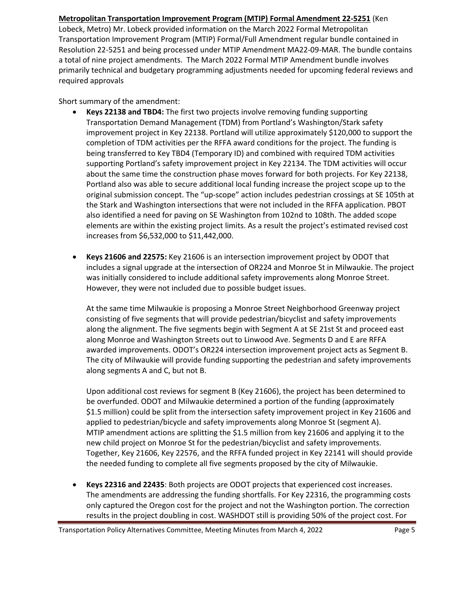### **Metropolitan Transportation Improvement Program (MTIP) Formal Amendment 22-5251** (Ken

Lobeck, Metro) Mr. Lobeck provided information on the March 2022 Formal Metropolitan Transportation Improvement Program (MTIP) Formal/Full Amendment regular bundle contained in Resolution 22-5251 and being processed under MTIP Amendment MA22-09-MAR. The bundle contains a total of nine project amendments. The March 2022 Formal MTIP Amendment bundle involves primarily technical and budgetary programming adjustments needed for upcoming federal reviews and required approvals

Short summary of the amendment:

- **Keys 22138 and TBD4:** The first two projects involve removing funding supporting Transportation Demand Management (TDM) from Portland's Washington/Stark safety improvement project in Key 22138. Portland will utilize approximately \$120,000 to support the completion of TDM activities per the RFFA award conditions for the project. The funding is being transferred to Key TBD4 (Temporary ID) and combined with required TDM activities supporting Portland's safety improvement project in Key 22134. The TDM activities will occur about the same time the construction phase moves forward for both projects. For Key 22138, Portland also was able to secure additional local funding increase the project scope up to the original submission concept. The "up-scope" action includes pedestrian crossings at SE 105th at the Stark and Washington intersections that were not included in the RFFA application. PBOT also identified a need for paving on SE Washington from 102nd to 108th. The added scope elements are within the existing project limits. As a result the project's estimated revised cost increases from \$6,532,000 to \$11,442,000.
- **Keys 21606 and 22575:** Key 21606 is an intersection improvement project by ODOT that includes a signal upgrade at the intersection of OR224 and Monroe St in Milwaukie. The project was initially considered to include additional safety improvements along Monroe Street. However, they were not included due to possible budget issues.

At the same time Milwaukie is proposing a Monroe Street Neighborhood Greenway project consisting of five segments that will provide pedestrian/bicyclist and safety improvements along the alignment. The five segments begin with Segment A at SE 21st St and proceed east along Monroe and Washington Streets out to Linwood Ave. Segments D and E are RFFA awarded improvements. ODOT's OR224 intersection improvement project acts as Segment B. The city of Milwaukie will provide funding supporting the pedestrian and safety improvements along segments A and C, but not B.

Upon additional cost reviews for segment B (Key 21606), the project has been determined to be overfunded. ODOT and Milwaukie determined a portion of the funding (approximately \$1.5 million) could be split from the intersection safety improvement project in Key 21606 and applied to pedestrian/bicycle and safety improvements along Monroe St (segment A). MTIP amendment actions are splitting the \$1.5 million from key 21606 and applying it to the new child project on Monroe St for the pedestrian/bicyclist and safety improvements. Together, Key 21606, Key 22576, and the RFFA funded project in Key 22141 will should provide the needed funding to complete all five segments proposed by the city of Milwaukie.

• **Keys 22316 and 22435**: Both projects are ODOT projects that experienced cost increases. The amendments are addressing the funding shortfalls. For Key 22316, the programming costs only captured the Oregon cost for the project and not the Washington portion. The correction results in the project doubling in cost. WASHDOT still is providing 50% of the project cost. For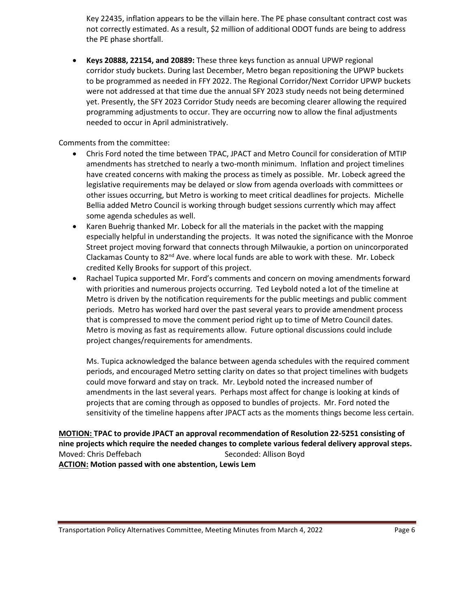Key 22435, inflation appears to be the villain here. The PE phase consultant contract cost was not correctly estimated. As a result, \$2 million of additional ODOT funds are being to address the PE phase shortfall.

• **Keys 20888, 22154, and 20889:** These three keys function as annual UPWP regional corridor study buckets. During last December, Metro began repositioning the UPWP buckets to be programmed as needed in FFY 2022. The Regional Corridor/Next Corridor UPWP buckets were not addressed at that time due the annual SFY 2023 study needs not being determined yet. Presently, the SFY 2023 Corridor Study needs are becoming clearer allowing the required programming adjustments to occur. They are occurring now to allow the final adjustments needed to occur in April administratively.

Comments from the committee:

- Chris Ford noted the time between TPAC, JPACT and Metro Council for consideration of MTIP amendments has stretched to nearly a two-month minimum. Inflation and project timelines have created concerns with making the process as timely as possible. Mr. Lobeck agreed the legislative requirements may be delayed or slow from agenda overloads with committees or other issues occurring, but Metro is working to meet critical deadlines for projects. Michelle Bellia added Metro Council is working through budget sessions currently which may affect some agenda schedules as well.
- Karen Buehrig thanked Mr. Lobeck for all the materials in the packet with the mapping especially helpful in understanding the projects. It was noted the significance with the Monroe Street project moving forward that connects through Milwaukie, a portion on unincorporated Clackamas County to 82<sup>nd</sup> Ave. where local funds are able to work with these. Mr. Lobeck credited Kelly Brooks for support of this project.
- Rachael Tupica supported Mr. Ford's comments and concern on moving amendments forward with priorities and numerous projects occurring. Ted Leybold noted a lot of the timeline at Metro is driven by the notification requirements for the public meetings and public comment periods. Metro has worked hard over the past several years to provide amendment process that is compressed to move the comment period right up to time of Metro Council dates. Metro is moving as fast as requirements allow. Future optional discussions could include project changes/requirements for amendments.

Ms. Tupica acknowledged the balance between agenda schedules with the required comment periods, and encouraged Metro setting clarity on dates so that project timelines with budgets could move forward and stay on track. Mr. Leybold noted the increased number of amendments in the last several years. Perhaps most affect for change is looking at kinds of projects that are coming through as opposed to bundles of projects. Mr. Ford noted the sensitivity of the timeline happens after JPACT acts as the moments things become less certain.

**MOTION: TPAC to provide JPACT an approval recommendation of Resolution 22-5251 consisting of nine projects which require the needed changes to complete various federal delivery approval steps.** Moved: Chris Deffebach Seconded: Allison Boyd **ACTION: Motion passed with one abstention, Lewis Lem**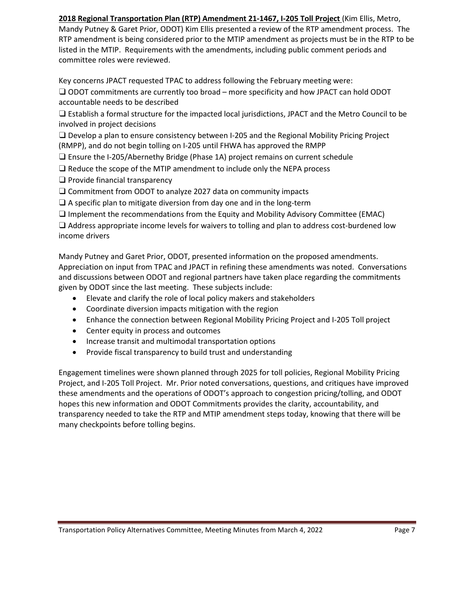**2018 Regional Transportation Plan (RTP) Amendment 21-1467, I-205 Toll Project** (Kim Ellis, Metro, Mandy Putney & Garet Prior, ODOT) Kim Ellis presented a review of the RTP amendment process. The RTP amendment is being considered prior to the MTIP amendment as projects must be in the RTP to be listed in the MTIP. Requirements with the amendments, including public comment periods and committee roles were reviewed.

Key concerns JPACT requested TPAC to address following the February meeting were:

❑ ODOT commitments are currently too broad – more specificity and how JPACT can hold ODOT accountable needs to be described

❑ Establish a formal structure for the impacted local jurisdictions, JPACT and the Metro Council to be involved in project decisions

❑ Develop a plan to ensure consistency between I-205 and the Regional Mobility Pricing Project (RMPP), and do not begin tolling on I-205 until FHWA has approved the RMPP

❑ Ensure the I-205/Abernethy Bridge (Phase 1A) project remains on current schedule

- ❑ Reduce the scope of the MTIP amendment to include only the NEPA process
- ❑ Provide financial transparency

❑ Commitment from ODOT to analyze 2027 data on community impacts

□ A specific plan to mitigate diversion from day one and in the long-term

❑ Implement the recommendations from the Equity and Mobility Advisory Committee (EMAC)

❑ Address appropriate income levels for waivers to tolling and plan to address cost-burdened low income drivers

Mandy Putney and Garet Prior, ODOT, presented information on the proposed amendments. Appreciation on input from TPAC and JPACT in refining these amendments was noted. Conversations and discussions between ODOT and regional partners have taken place regarding the commitments given by ODOT since the last meeting. These subjects include:

- Elevate and clarify the role of local policy makers and stakeholders
- Coordinate diversion impacts mitigation with the region
- Enhance the connection between Regional Mobility Pricing Project and I-205 Toll project
- Center equity in process and outcomes
- Increase transit and multimodal transportation options
- Provide fiscal transparency to build trust and understanding

Engagement timelines were shown planned through 2025 for toll policies, Regional Mobility Pricing Project, and I-205 Toll Project. Mr. Prior noted conversations, questions, and critiques have improved these amendments and the operations of ODOT's approach to congestion pricing/tolling, and ODOT hopes this new information and ODOT Commitments provides the clarity, accountability, and transparency needed to take the RTP and MTIP amendment steps today, knowing that there will be many checkpoints before tolling begins.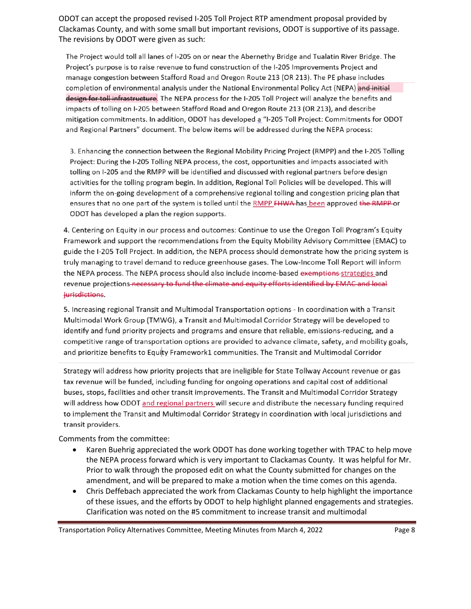ODOT can accept the proposed revised I-205 Toll Project RTP amendment proposal provided by Clackamas County, and with some small but important revisions, ODOT is supportive of its passage. The revisions by ODOT were given as such:

The Project would toll all lanes of I-205 on or near the Abernethy Bridge and Tualatin River Bridge. The Project's purpose is to raise revenue to fund construction of the I-205 Improvements Project and manage congestion between Stafford Road and Oregon Route 213 (OR 213). The PE phase includes completion of environmental analysis under the National Environmental Policy Act (NEPA) and initial design for toll infrastructure. The NEPA process for the I-205 Toll Project will analyze the benefits and impacts of tolling on I-205 between Stafford Road and Oregon Route 213 (OR 213), and describe mitigation commitments. In addition, ODOT has developed a "I-205 Toll Project: Commitments for ODOT and Regional Partners" document. The below items will be addressed during the NEPA process:

3. Enhancing the connection between the Regional Mobility Pricing Project (RMPP) and the I-205 Tolling Project: During the I-205 Tolling NEPA process, the cost, opportunities and impacts associated with tolling on I-205 and the RMPP will be identified and discussed with regional partners before design activities for the tolling program begin. In addition, Regional Toll Policies will be developed. This will inform the on-going development of a comprehensive regional tolling and congestion pricing plan that ensures that no one part of the system is tolled until the RMPP FHWA has been approved the RMPP or ODOT has developed a plan the region supports.

4. Centering on Equity in our process and outcomes: Continue to use the Oregon Toll Program's Equity Framework and support the recommendations from the Equity Mobility Advisory Committee (EMAC) to guide the I-205 Toll Project. In addition, the NEPA process should demonstrate how the pricing system is truly managing to travel demand to reduce greenhouse gases. The Low-Income Toll Report will inform the NEPA process. The NEPA process should also include income-based exemptions-strategies and revenue projections necessary to fund the climate and equity efforts identified by EMAC and local jurisdictions.

5. Increasing regional Transit and Multimodal Transportation options - In coordination with a Transit Multimodal Work Group (TMWG), a Transit and Multimodal Corridor Strategy will be developed to identify and fund priority projects and programs and ensure that reliable, emissions-reducing, and a competitive range of transportation options are provided to advance climate, safety, and mobility goals, and prioritize benefits to Equity Framework1 communities. The Transit and Multimodal Corridor

Strategy will address how priority projects that are ineligible for State Tollway Account revenue or gas tax revenue will be funded, including funding for ongoing operations and capital cost of additional buses, stops, facilities and other transit improvements. The Transit and Multimodal Corridor Strategy will address how ODOT and regional partners will secure and distribute the necessary funding required to implement the Transit and Multimodal Corridor Strategy in coordination with local jurisdictions and transit providers.

Comments from the committee:

- Karen Buehrig appreciated the work ODOT has done working together with TPAC to help move the NEPA process forward which is very important to Clackamas County. It was helpful for Mr. Prior to walk through the proposed edit on what the County submitted for changes on the amendment, and will be prepared to make a motion when the time comes on this agenda.
- Chris Deffebach appreciated the work from Clackamas County to help highlight the importance of these issues, and the efforts by ODOT to help highlight planned engagements and strategies. Clarification was noted on the #5 commitment to increase transit and multimodal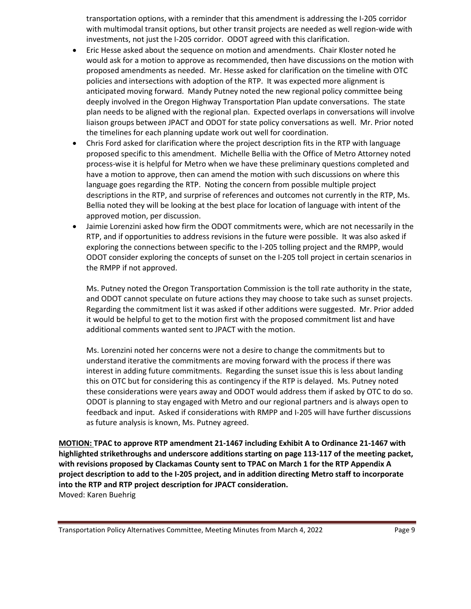transportation options, with a reminder that this amendment is addressing the I-205 corridor with multimodal transit options, but other transit projects are needed as well region-wide with investments, not just the I-205 corridor. ODOT agreed with this clarification.

- Eric Hesse asked about the sequence on motion and amendments. Chair Kloster noted he would ask for a motion to approve as recommended, then have discussions on the motion with proposed amendments as needed. Mr. Hesse asked for clarification on the timeline with OTC policies and intersections with adoption of the RTP. It was expected more alignment is anticipated moving forward. Mandy Putney noted the new regional policy committee being deeply involved in the Oregon Highway Transportation Plan update conversations. The state plan needs to be aligned with the regional plan. Expected overlaps in conversations will involve liaison groups between JPACT and ODOT for state policy conversations as well. Mr. Prior noted the timelines for each planning update work out well for coordination.
- Chris Ford asked for clarification where the project description fits in the RTP with language proposed specific to this amendment. Michelle Bellia with the Office of Metro Attorney noted process-wise it is helpful for Metro when we have these preliminary questions completed and have a motion to approve, then can amend the motion with such discussions on where this language goes regarding the RTP. Noting the concern from possible multiple project descriptions in the RTP, and surprise of references and outcomes not currently in the RTP, Ms. Bellia noted they will be looking at the best place for location of language with intent of the approved motion, per discussion.
- Jaimie Lorenzini asked how firm the ODOT commitments were, which are not necessarily in the RTP, and if opportunities to address revisions in the future were possible. It was also asked if exploring the connections between specific to the I-205 tolling project and the RMPP, would ODOT consider exploring the concepts of sunset on the I-205 toll project in certain scenarios in the RMPP if not approved.

Ms. Putney noted the Oregon Transportation Commission is the toll rate authority in the state, and ODOT cannot speculate on future actions they may choose to take such as sunset projects. Regarding the commitment list it was asked if other additions were suggested. Mr. Prior added it would be helpful to get to the motion first with the proposed commitment list and have additional comments wanted sent to JPACT with the motion.

Ms. Lorenzini noted her concerns were not a desire to change the commitments but to understand iterative the commitments are moving forward with the process if there was interest in adding future commitments. Regarding the sunset issue this is less about landing this on OTC but for considering this as contingency if the RTP is delayed. Ms. Putney noted these considerations were years away and ODOT would address them if asked by OTC to do so. ODOT is planning to stay engaged with Metro and our regional partners and is always open to feedback and input. Asked if considerations with RMPP and I-205 will have further discussions as future analysis is known, Ms. Putney agreed.

**MOTION: TPAC to approve RTP amendment 21-1467 including Exhibit A to Ordinance 21-1467 with highlighted strikethroughs and underscore additions starting on page 113-117 of the meeting packet, with revisions proposed by Clackamas County sent to TPAC on March 1 for the RTP Appendix A project description to add to the I-205 project, and in addition directing Metro staff to incorporate into the RTP and RTP project description for JPACT consideration.** Moved: Karen Buehrig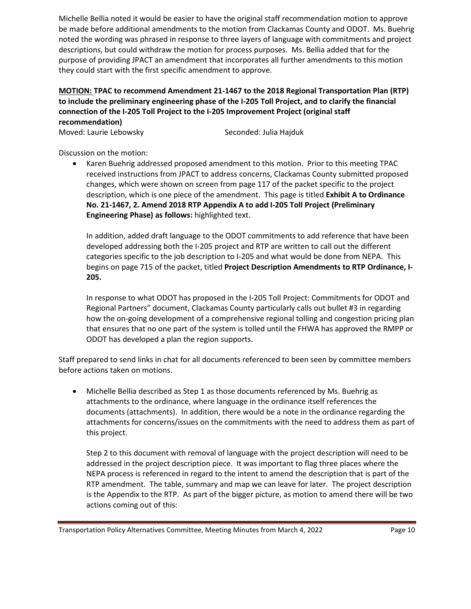Michelle Bellia noted it would be easier to have the original staff recommendation motion to approve be made before additional amendments to the motion from Clackamas County and ODOT. Ms. Buehrig noted the wording was phrased in response to three layers of language with commitments and project descriptions, but could withdraw the motion for process purposes. Ms. Bellia added that for the purpose of providing JPACT an amendment that incorporates all further amendments to this motion they could start with the first specific amendment to approve.

# **MOTION: TPAC to recommend Amendment 21-1467 to the 2018 Regional Transportation Plan (RTP) to include the preliminary engineering phase of the I-205 Toll Project, and to clarify the financial connection of the I-205 Toll Project to the I-205 Improvement Project (original staff recommendation)**

Moved: Laurie Lebowsky Seconded: Julia Hajduk

Discussion on the motion:

• Karen Buehrig addressed proposed amendment to this motion. Prior to this meeting TPAC received instructions from JPACT to address concerns, Clackamas County submitted proposed changes, which were shown on screen from page 117 of the packet specific to the project description, which is one piece of the amendment. This page is titled **Exhibit A to Ordinance No. 21-1467, 2. Amend 2018 RTP Appendix A to add I-205 Toll Project (Preliminary Engineering Phase) as follows:** highlighted text.

In addition, added draft language to the ODOT commitments to add reference that have been developed addressing both the I-205 project and RTP are written to call out the different categories specific to the job description to I-205 and what would be done from NEPA. This begins on page 715 of the packet, titled **Project Description Amendments to RTP Ordinance, I-205.**

In response to what ODOT has proposed in the I-205 Toll Project: Commitments for ODOT and Regional Partners" document, Clackamas County particularly calls out bullet #3 in regarding how the on-going development of a comprehensive regional tolling and congestion pricing plan that ensures that no one part of the system is tolled until the FHWA has approved the RMPP or ODOT has developed a plan the region supports.

Staff prepared to send links in chat for all documents referenced to been seen by committee members before actions taken on motions.

• Michelle Bellia described as Step 1 as those documents referenced by Ms. Buehrig as attachments to the ordinance, where language in the ordinance itself references the documents (attachments). In addition, there would be a note in the ordinance regarding the attachments for concerns/issues on the commitments with the need to address them as part of this project.

Step 2 to this document with removal of language with the project description will need to be addressed in the project description piece. It was important to flag three places where the NEPA process is referenced in regard to the intent to amend the description that is part of the RTP amendment. The table, summary and map we can leave for later. The project description is the Appendix to the RTP. As part of the bigger picture, as motion to amend there will be two actions coming out of this:

Transportation Policy Alternatives Committee, Meeting Minutes from March 4, 2022 Page 10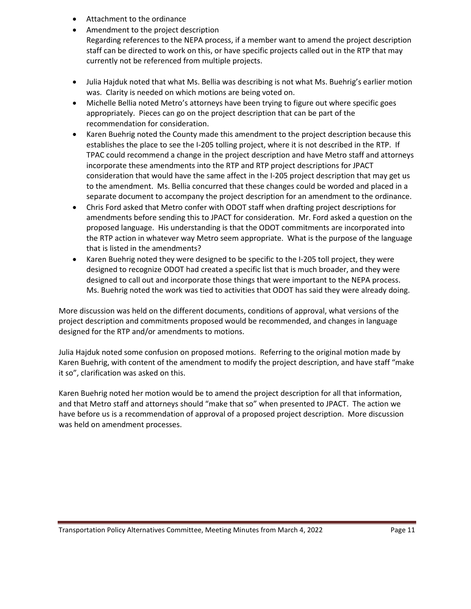- Attachment to the ordinance
- Amendment to the project description Regarding references to the NEPA process, if a member want to amend the project description staff can be directed to work on this, or have specific projects called out in the RTP that may currently not be referenced from multiple projects.
- Julia Hajduk noted that what Ms. Bellia was describing is not what Ms. Buehrig's earlier motion was. Clarity is needed on which motions are being voted on.
- Michelle Bellia noted Metro's attorneys have been trying to figure out where specific goes appropriately. Pieces can go on the project description that can be part of the recommendation for consideration.
- Karen Buehrig noted the County made this amendment to the project description because this establishes the place to see the I-205 tolling project, where it is not described in the RTP. If TPAC could recommend a change in the project description and have Metro staff and attorneys incorporate these amendments into the RTP and RTP project descriptions for JPACT consideration that would have the same affect in the I-205 project description that may get us to the amendment. Ms. Bellia concurred that these changes could be worded and placed in a separate document to accompany the project description for an amendment to the ordinance.
- Chris Ford asked that Metro confer with ODOT staff when drafting project descriptions for amendments before sending this to JPACT for consideration. Mr. Ford asked a question on the proposed language. His understanding is that the ODOT commitments are incorporated into the RTP action in whatever way Metro seem appropriate. What is the purpose of the language that is listed in the amendments?
- Karen Buehrig noted they were designed to be specific to the I-205 toll project, they were designed to recognize ODOT had created a specific list that is much broader, and they were designed to call out and incorporate those things that were important to the NEPA process. Ms. Buehrig noted the work was tied to activities that ODOT has said they were already doing.

More discussion was held on the different documents, conditions of approval, what versions of the project description and commitments proposed would be recommended, and changes in language designed for the RTP and/or amendments to motions.

Julia Hajduk noted some confusion on proposed motions. Referring to the original motion made by Karen Buehrig, with content of the amendment to modify the project description, and have staff "make it so", clarification was asked on this.

Karen Buehrig noted her motion would be to amend the project description for all that information, and that Metro staff and attorneys should "make that so" when presented to JPACT. The action we have before us is a recommendation of approval of a proposed project description. More discussion was held on amendment processes.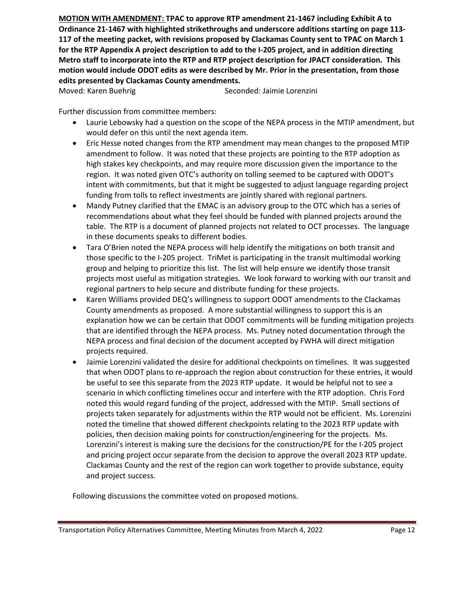**MOTION WITH AMENDMENT: TPAC to approve RTP amendment 21-1467 including Exhibit A to Ordinance 21-1467 with highlighted strikethroughs and underscore additions starting on page 113- 117 of the meeting packet, with revisions proposed by Clackamas County sent to TPAC on March 1 for the RTP Appendix A project description to add to the I-205 project, and in addition directing Metro staff to incorporate into the RTP and RTP project description for JPACT consideration. This motion would include ODOT edits as were described by Mr. Prior in the presentation, from those edits presented by Clackamas County amendments.**

Moved: Karen Buehrig Seconded: Jaimie Lorenzini

Further discussion from committee members:

- Laurie Lebowsky had a question on the scope of the NEPA process in the MTIP amendment, but would defer on this until the next agenda item.
- Eric Hesse noted changes from the RTP amendment may mean changes to the proposed MTIP amendment to follow. It was noted that these projects are pointing to the RTP adoption as high stakes key checkpoints, and may require more discussion given the importance to the region. It was noted given OTC's authority on tolling seemed to be captured with ODOT's intent with commitments, but that it might be suggested to adjust language regarding project funding from tolls to reflect investments are jointly shared with regional partners.
- Mandy Putney clarified that the EMAC is an advisory group to the OTC which has a series of recommendations about what they feel should be funded with planned projects around the table. The RTP is a document of planned projects not related to OCT processes. The language in these documents speaks to different bodies.
- Tara O'Brien noted the NEPA process will help identify the mitigations on both transit and those specific to the I-205 project. TriMet is participating in the transit multimodal working group and helping to prioritize this list. The list will help ensure we identify those transit projects most useful as mitigation strategies. We look forward to working with our transit and regional partners to help secure and distribute funding for these projects.
- Karen Williams provided DEQ's willingness to support ODOT amendments to the Clackamas County amendments as proposed. A more substantial willingness to support this is an explanation how we can be certain that ODOT commitments will be funding mitigation projects that are identified through the NEPA process. Ms. Putney noted documentation through the NEPA process and final decision of the document accepted by FWHA will direct mitigation projects required.
- Jaimie Lorenzini validated the desire for additional checkpoints on timelines. It was suggested that when ODOT plans to re-approach the region about construction for these entries, it would be useful to see this separate from the 2023 RTP update. It would be helpful not to see a scenario in which conflicting timelines occur and interfere with the RTP adoption. Chris Ford noted this would regard funding of the project, addressed with the MTIP. Small sections of projects taken separately for adjustments within the RTP would not be efficient. Ms. Lorenzini noted the timeline that showed different checkpoints relating to the 2023 RTP update with policies, then decision making points for construction/engineering for the projects. Ms. Lorenzini's interest is making sure the decisions for the construction/PE for the I-205 project and pricing project occur separate from the decision to approve the overall 2023 RTP update. Clackamas County and the rest of the region can work together to provide substance, equity and project success.

Following discussions the committee voted on proposed motions.

Transportation Policy Alternatives Committee, Meeting Minutes from March 4, 2022 Page 12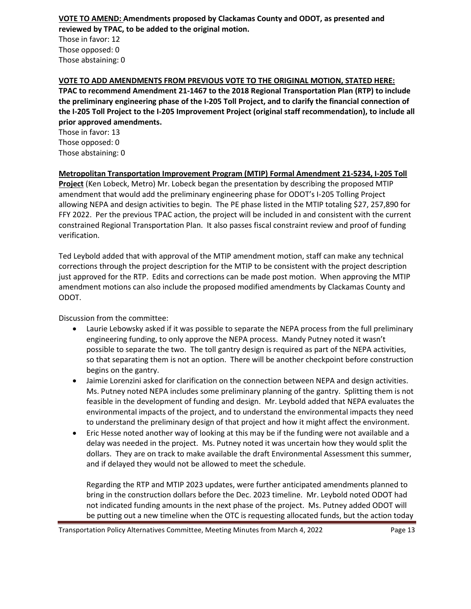#### **VOTE TO AMEND: Amendments proposed by Clackamas County and ODOT, as presented and reviewed by TPAC, to be added to the original motion.**

Those in favor: 12 Those opposed: 0 Those abstaining: 0

# **VOTE TO ADD AMENDMENTS FROM PREVIOUS VOTE TO THE ORIGINAL MOTION, STATED HERE:**

**TPAC to recommend Amendment 21-1467 to the 2018 Regional Transportation Plan (RTP) to include the preliminary engineering phase of the I-205 Toll Project, and to clarify the financial connection of the I-205 Toll Project to the I-205 Improvement Project (original staff recommendation), to include all prior approved amendments.**

Those in favor: 13 Those opposed: 0 Those abstaining: 0

### **Metropolitan Transportation Improvement Program (MTIP) Formal Amendment 21-5234, I-205 Toll**

**Project** (Ken Lobeck, Metro) Mr. Lobeck began the presentation by describing the proposed MTIP amendment that would add the preliminary engineering phase for ODOT's I-205 Tolling Project allowing NEPA and design activities to begin. The PE phase listed in the MTIP totaling \$27, 257,890 for FFY 2022. Per the previous TPAC action, the project will be included in and consistent with the current constrained Regional Transportation Plan. It also passes fiscal constraint review and proof of funding verification.

Ted Leybold added that with approval of the MTIP amendment motion, staff can make any technical corrections through the project description for the MTIP to be consistent with the project description just approved for the RTP. Edits and corrections can be made post motion. When approving the MTIP amendment motions can also include the proposed modified amendments by Clackamas County and ODOT.

Discussion from the committee:

- Laurie Lebowsky asked if it was possible to separate the NEPA process from the full preliminary engineering funding, to only approve the NEPA process. Mandy Putney noted it wasn't possible to separate the two. The toll gantry design is required as part of the NEPA activities, so that separating them is not an option. There will be another checkpoint before construction begins on the gantry.
- Jaimie Lorenzini asked for clarification on the connection between NEPA and design activities. Ms. Putney noted NEPA includes some preliminary planning of the gantry. Splitting them is not feasible in the development of funding and design. Mr. Leybold added that NEPA evaluates the environmental impacts of the project, and to understand the environmental impacts they need to understand the preliminary design of that project and how it might affect the environment.
- Eric Hesse noted another way of looking at this may be if the funding were not available and a delay was needed in the project. Ms. Putney noted it was uncertain how they would split the dollars. They are on track to make available the draft Environmental Assessment this summer, and if delayed they would not be allowed to meet the schedule.

Regarding the RTP and MTIP 2023 updates, were further anticipated amendments planned to bring in the construction dollars before the Dec. 2023 timeline. Mr. Leybold noted ODOT had not indicated funding amounts in the next phase of the project. Ms. Putney added ODOT will be putting out a new timeline when the OTC is requesting allocated funds, but the action today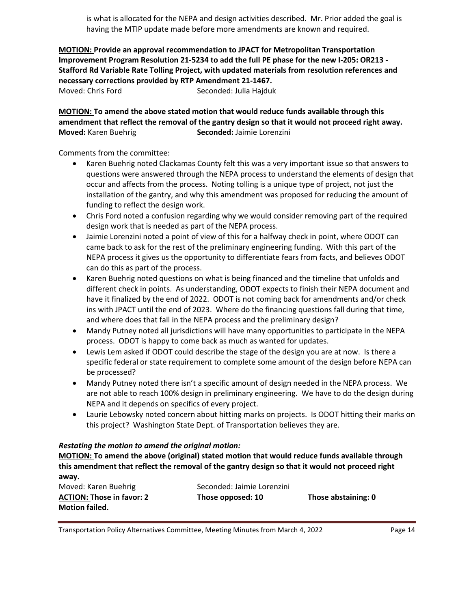is what is allocated for the NEPA and design activities described. Mr. Prior added the goal is having the MTIP update made before more amendments are known and required.

**MOTION: Provide an approval recommendation to JPACT for Metropolitan Transportation Improvement Program Resolution 21-5234 to add the full PE phase for the new I-205: OR213 - Stafford Rd Variable Rate Tolling Project, with updated materials from resolution references and necessary corrections provided by RTP Amendment 21-1467.** Moved: Chris Ford Seconded: Julia Hajduk

**MOTION: To amend the above stated motion that would reduce funds available through this amendment that reflect the removal of the gantry design so that it would not proceed right away. Moved:** Karen Buehrig **Seconded:** Jaimie Lorenzini

Comments from the committee:

- Karen Buehrig noted Clackamas County felt this was a very important issue so that answers to questions were answered through the NEPA process to understand the elements of design that occur and affects from the process. Noting tolling is a unique type of project, not just the installation of the gantry, and why this amendment was proposed for reducing the amount of funding to reflect the design work.
- Chris Ford noted a confusion regarding why we would consider removing part of the required design work that is needed as part of the NEPA process.
- Jaimie Lorenzini noted a point of view of this for a halfway check in point, where ODOT can came back to ask for the rest of the preliminary engineering funding. With this part of the NEPA process it gives us the opportunity to differentiate fears from facts, and believes ODOT can do this as part of the process.
- Karen Buehrig noted questions on what is being financed and the timeline that unfolds and different check in points. As understanding, ODOT expects to finish their NEPA document and have it finalized by the end of 2022. ODOT is not coming back for amendments and/or check ins with JPACT until the end of 2023. Where do the financing questions fall during that time, and where does that fall in the NEPA process and the preliminary design?
- Mandy Putney noted all jurisdictions will have many opportunities to participate in the NEPA process. ODOT is happy to come back as much as wanted for updates.
- Lewis Lem asked if ODOT could describe the stage of the design you are at now. Is there a specific federal or state requirement to complete some amount of the design before NEPA can be processed?
- Mandy Putney noted there isn't a specific amount of design needed in the NEPA process. We are not able to reach 100% design in preliminary engineering. We have to do the design during NEPA and it depends on specifics of every project.
- Laurie Lebowsky noted concern about hitting marks on projects. Is ODOT hitting their marks on this project? Washington State Dept. of Transportation believes they are.

#### *Restating the motion to amend the original motion:*

**MOTION: To amend the above (original) stated motion that would reduce funds available through this amendment that reflect the removal of the gantry design so that it would not proceed right away.**

| Moved: Karen Buehrig             | Seconded: Jaimie Lorenzini |                     |
|----------------------------------|----------------------------|---------------------|
| <b>ACTION: Those in favor: 2</b> | Those opposed: 10          | Those abstaining: 0 |
| <b>Motion failed.</b>            |                            |                     |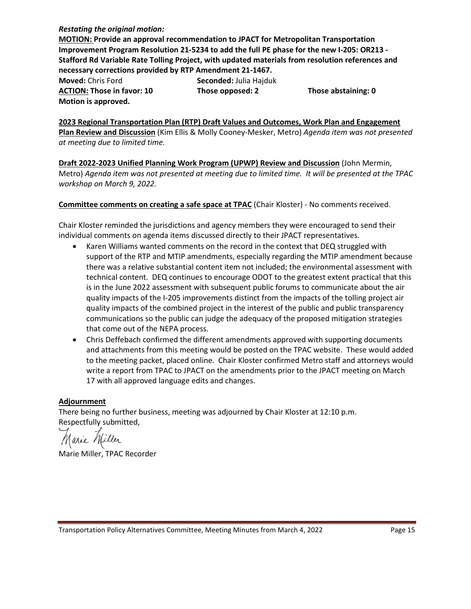#### *Restating the original motion:*

**MOTION: Provide an approval recommendation to JPACT for Metropolitan Transportation Improvement Program Resolution 21-5234 to add the full PE phase for the new I-205: OR213 - Stafford Rd Variable Rate Tolling Project, with updated materials from resolution references and necessary corrections provided by RTP Amendment 21-1467.**

**Moved:** Chris Ford **Seconded:** Julia Hajduk **ACTION: Those in favor: 10 Those opposed: 2 Those abstaining: 0 Motion is approved.**

**2023 Regional Transportation Plan (RTP) Draft Values and Outcomes, Work Plan and Engagement Plan Review and Discussion** (Kim Ellis & Molly Cooney-Mesker, Metro) *Agenda item was not presented at meeting due to limited time.*

**Draft 2022-2023 Unified Planning Work Program (UPWP) Review and Discussion** (John Mermin, Metro) *Agenda item was not presented at meeting due to limited time. It will be presented at the TPAC workshop on March 9, 2022.*

**Committee comments on creating a safe space at TPAC** (Chair Kloster) - No comments received.

Chair Kloster reminded the jurisdictions and agency members they were encouraged to send their individual comments on agenda items discussed directly to their JPACT representatives.

- Karen Williams wanted comments on the record in the context that DEQ struggled with support of the RTP and MTIP amendments, especially regarding the MTIP amendment because there was a relative substantial content item not included; the environmental assessment with technical content. DEQ continues to encourage ODOT to the greatest extent practical that this is in the June 2022 assessment with subsequent public forums to communicate about the air quality impacts of the I-205 improvements distinct from the impacts of the tolling project air quality impacts of the combined project in the interest of the public and public transparency communications so the public can judge the adequacy of the proposed mitigation strategies that come out of the NEPA process.
- Chris Deffebach confirmed the different amendments approved with supporting documents and attachments from this meeting would be posted on the TPAC website. These would added to the meeting packet, placed online. Chair Kloster confirmed Metro staff and attorneys would write a report from TPAC to JPACT on the amendments prior to the JPACT meeting on March 17 with all approved language edits and changes.

# **Adjournment**

There being no further business, meeting was adjourned by Chair Kloster at 12:10 p.m. Respectfully submitted,

Marie Miller, TPAC Recorder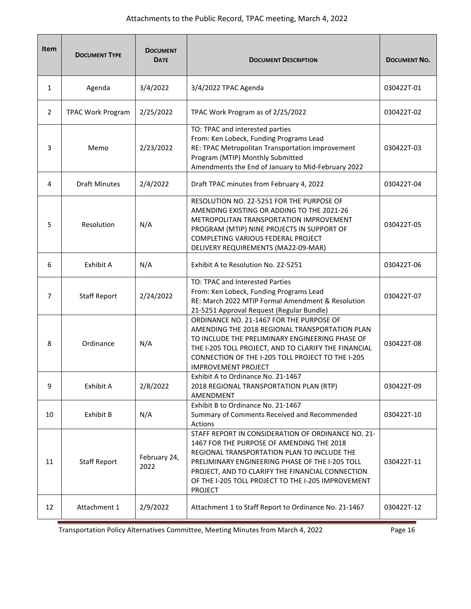| <b>Item</b>    | <b>DOCUMENT TYPE</b>     | <b>DOCUMENT</b><br><b>DATE</b> | <b>DOCUMENT DESCRIPTION</b>                                                                                                                                                                                                                                                                                                   | <b>DOCUMENT NO.</b> |
|----------------|--------------------------|--------------------------------|-------------------------------------------------------------------------------------------------------------------------------------------------------------------------------------------------------------------------------------------------------------------------------------------------------------------------------|---------------------|
| $\mathbf{1}$   | Agenda                   | 3/4/2022                       | 3/4/2022 TPAC Agenda                                                                                                                                                                                                                                                                                                          | 030422T-01          |
| $\overline{2}$ | <b>TPAC Work Program</b> | 2/25/2022                      | TPAC Work Program as of 2/25/2022                                                                                                                                                                                                                                                                                             | 030422T-02          |
| 3              | Memo                     | 2/23/2022                      | TO: TPAC and interested parties<br>From: Ken Lobeck, Funding Programs Lead<br>RE: TPAC Metropolitan Transportation Improvement<br>Program (MTIP) Monthly Submitted<br>Amendments the End of January to Mid-February 2022                                                                                                      | 030422T-03          |
| 4              | <b>Draft Minutes</b>     | 2/4/2022                       | Draft TPAC minutes from February 4, 2022                                                                                                                                                                                                                                                                                      | 030422T-04          |
| 5              | Resolution               | N/A                            | RESOLUTION NO. 22-5251 FOR THE PURPOSE OF<br>AMENDING EXISTING OR ADDING TO THE 2021-26<br>METROPOLITAN TRANSPORTATION IMPROVEMENT<br>PROGRAM (MTIP) NINE PROJECTS IN SUPPORT OF<br>COMPLETING VARIOUS FEDERAL PROJECT<br>DELIVERY REQUIREMENTS (MA22-09-MAR)                                                                 | 030422T-05          |
| 6              | Exhibit A                | N/A                            | Exhibit A to Resolution No. 22-5251                                                                                                                                                                                                                                                                                           | 030422T-06          |
| 7              | <b>Staff Report</b>      | 2/24/2022                      | TO: TPAC and Interested Parties<br>From: Ken Lobeck, Funding Programs Lead<br>RE: March 2022 MTIP Formal Amendment & Resolution<br>21-5251 Approval Request (Regular Bundle)                                                                                                                                                  | 030422T-07          |
| 8              | Ordinance                | N/A                            | ORDINANCE NO. 21-1467 FOR THE PURPOSE OF<br>AMENDING THE 2018 REGIONAL TRANSPORTATION PLAN<br>TO INCLUDE THE PRELIMINARY ENGINEERING PHASE OF<br>THE I-205 TOLL PROJECT, AND TO CLARIFY THE FINANCIAL<br>CONNECTION OF THE I-205 TOLL PROJECT TO THE I-205<br><b>IMPROVEMENT PROJECT</b>                                      | 030422T-08          |
| 9              | Exhibit A                | 2/8/2022                       | Exhibit A to Ordinance No. 21-1467<br>2018 REGIONAL TRANSPORTATION PLAN (RTP)<br><b>AMENDMENT</b>                                                                                                                                                                                                                             | 030422T-09          |
| 10             | Exhibit B                | N/A                            | Exhibit B to Ordinance No. 21-1467<br>Summary of Comments Received and Recommended<br>Actions                                                                                                                                                                                                                                 | 030422T-10          |
| 11             | <b>Staff Report</b>      | February 24,<br>2022           | STAFF REPORT IN CONSIDERATION OF ORDINANCE NO. 21-<br>1467 FOR THE PURPOSE OF AMENDING THE 2018<br>REGIONAL TRANSPORTATION PLAN TO INCLUDE THE<br>PRELIMINARY ENGINEERING PHASE OF THE I-205 TOLL<br>PROJECT, AND TO CLARIFY THE FINANCIAL CONNECTION<br>OF THE I-205 TOLL PROJECT TO THE I-205 IMPROVEMENT<br><b>PROJECT</b> | 030422T-11          |
| 12             | Attachment 1             | 2/9/2022                       | Attachment 1 to Staff Report to Ordinance No. 21-1467                                                                                                                                                                                                                                                                         | 030422T-12          |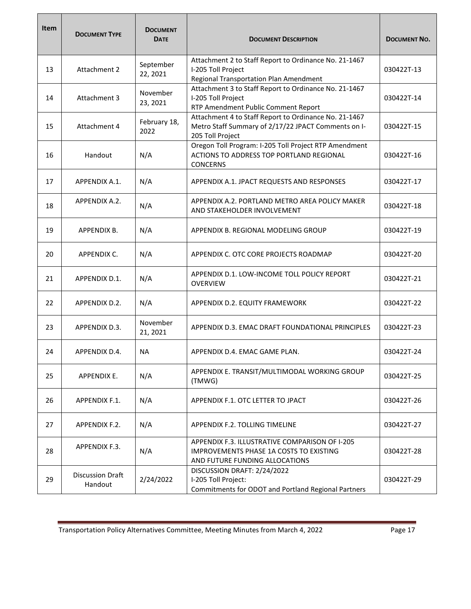| <b>Item</b> | <b>DOCUMENT TYPE</b>               | <b>DOCUMENT</b><br><b>DATE</b> | <b>DOCUMENT DESCRIPTION</b>                                                                                                        | <b>DOCUMENT NO.</b> |
|-------------|------------------------------------|--------------------------------|------------------------------------------------------------------------------------------------------------------------------------|---------------------|
| 13          | Attachment 2                       | September<br>22, 2021          | Attachment 2 to Staff Report to Ordinance No. 21-1467<br>I-205 Toll Project<br>Regional Transportation Plan Amendment              | 030422T-13          |
| 14          | Attachment 3                       | November<br>23, 2021           | Attachment 3 to Staff Report to Ordinance No. 21-1467<br>I-205 Toll Project<br>RTP Amendment Public Comment Report                 | 030422T-14          |
| 15          | Attachment 4                       | February 18,<br>2022           | Attachment 4 to Staff Report to Ordinance No. 21-1467<br>Metro Staff Summary of 2/17/22 JPACT Comments on I-<br>205 Toll Project   | 030422T-15          |
| 16          | Handout                            | N/A                            | Oregon Toll Program: I-205 Toll Project RTP Amendment<br>ACTIONS TO ADDRESS TOP PORTLAND REGIONAL<br><b>CONCERNS</b>               | 030422T-16          |
| 17          | <b>APPENDIX A.1.</b>               | N/A                            | APPENDIX A.1. JPACT REQUESTS AND RESPONSES                                                                                         | 030422T-17          |
| 18          | APPENDIX A.2.                      | N/A                            | APPENDIX A.2. PORTLAND METRO AREA POLICY MAKER<br>AND STAKEHOLDER INVOLVEMENT                                                      | 030422T-18          |
| 19          | <b>APPENDIX B.</b>                 | N/A                            | APPENDIX B. REGIONAL MODELING GROUP                                                                                                | 030422T-19          |
| 20          | APPENDIX C.                        | N/A                            | APPENDIX C. OTC CORE PROJECTS ROADMAP                                                                                              | 030422T-20          |
| 21          | APPENDIX D.1.                      | N/A                            | APPENDIX D.1. LOW-INCOME TOLL POLICY REPORT<br><b>OVERVIEW</b>                                                                     | 030422T-21          |
| 22          | APPENDIX D.2.                      | N/A                            | APPENDIX D.2. EQUITY FRAMEWORK                                                                                                     | 030422T-22          |
| 23          | APPENDIX D.3.                      | November<br>21, 2021           | APPENDIX D.3. EMAC DRAFT FOUNDATIONAL PRINCIPLES                                                                                   | 030422T-23          |
| 24          | APPENDIX D.4.                      | <b>NA</b>                      | APPENDIX D.4. EMAC GAME PLAN.                                                                                                      | 030422T-24          |
| 25          | APPENDIX E.                        | N/A                            | APPENDIX E. TRANSIT/MULTIMODAL WORKING GROUP<br>(TMWG)                                                                             | 030422T-25          |
| 26          | APPENDIX F.1.                      | N/A                            | APPENDIX F.1. OTC LETTER TO JPACT                                                                                                  | 030422T-26          |
| 27          | APPENDIX F.2.                      | N/A                            | APPENDIX F.2. TOLLING TIMELINE                                                                                                     | 030422T-27          |
| 28          | APPENDIX F.3.                      | N/A                            | APPENDIX F.3. ILLUSTRATIVE COMPARISON OF I-205<br><b>IMPROVEMENTS PHASE 1A COSTS TO EXISTING</b><br>AND FUTURE FUNDING ALLOCATIONS | 030422T-28          |
| 29          | <b>Discussion Draft</b><br>Handout | 2/24/2022                      | DISCUSSION DRAFT: 2/24/2022<br>I-205 Toll Project:<br>Commitments for ODOT and Portland Regional Partners                          | 030422T-29          |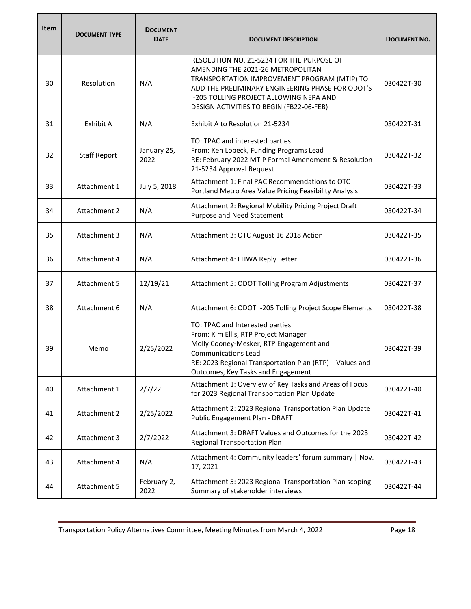| <b>Item</b> | <b>DOCUMENT TYPE</b> | <b>DOCUMENT</b><br><b>DATE</b> | <b>DOCUMENT DESCRIPTION</b>                                                                                                                                                                                                                                               | <b>DOCUMENT NO.</b> |
|-------------|----------------------|--------------------------------|---------------------------------------------------------------------------------------------------------------------------------------------------------------------------------------------------------------------------------------------------------------------------|---------------------|
| 30          | Resolution           | N/A                            | RESOLUTION NO. 21-5234 FOR THE PURPOSE OF<br>AMENDING THE 2021-26 METROPOLITAN<br>TRANSPORTATION IMPROVEMENT PROGRAM (MTIP) TO<br>ADD THE PRELIMINARY ENGINEERING PHASE FOR ODOT'S<br>I-205 TOLLING PROJECT ALLOWING NEPA AND<br>DESIGN ACTIVITIES TO BEGIN (FB22-06-FEB) | 030422T-30          |
| 31          | Exhibit A            | N/A                            | Exhibit A to Resolution 21-5234                                                                                                                                                                                                                                           | 030422T-31          |
| 32          | <b>Staff Report</b>  | January 25,<br>2022            | TO: TPAC and interested parties<br>From: Ken Lobeck, Funding Programs Lead<br>RE: February 2022 MTIP Formal Amendment & Resolution<br>21-5234 Approval Request                                                                                                            | 030422T-32          |
| 33          | Attachment 1         | July 5, 2018                   | Attachment 1: Final PAC Recommendations to OTC<br>Portland Metro Area Value Pricing Feasibility Analysis                                                                                                                                                                  | 030422T-33          |
| 34          | Attachment 2         | N/A                            | Attachment 2: Regional Mobility Pricing Project Draft<br>Purpose and Need Statement                                                                                                                                                                                       | 030422T-34          |
| 35          | Attachment 3         | N/A                            | Attachment 3: OTC August 16 2018 Action                                                                                                                                                                                                                                   | 030422T-35          |
| 36          | Attachment 4         | N/A                            | Attachment 4: FHWA Reply Letter                                                                                                                                                                                                                                           | 030422T-36          |
| 37          | Attachment 5         | 12/19/21                       | Attachment 5: ODOT Tolling Program Adjustments                                                                                                                                                                                                                            | 030422T-37          |
| 38          | Attachment 6         | N/A                            | Attachment 6: ODOT I-205 Tolling Project Scope Elements                                                                                                                                                                                                                   | 030422T-38          |
| 39          | Memo                 | 2/25/2022                      | TO: TPAC and Interested parties<br>From: Kim Ellis, RTP Project Manager<br>Molly Cooney-Mesker, RTP Engagement and<br><b>Communications Lead</b><br>RE: 2023 Regional Transportation Plan (RTP) - Values and<br>Outcomes, Key Tasks and Engagement                        | 030422T-39          |
| 40          | Attachment 1         | 2/7/22                         | Attachment 1: Overview of Key Tasks and Areas of Focus<br>for 2023 Regional Transportation Plan Update                                                                                                                                                                    | 030422T-40          |
| 41          | Attachment 2         | 2/25/2022                      | Attachment 2: 2023 Regional Transportation Plan Update<br>Public Engagement Plan - DRAFT                                                                                                                                                                                  | 030422T-41          |
| 42          | Attachment 3         | 2/7/2022                       | Attachment 3: DRAFT Values and Outcomes for the 2023<br>Regional Transportation Plan                                                                                                                                                                                      | 030422T-42          |
| 43          | Attachment 4         | N/A                            | Attachment 4: Community leaders' forum summary   Nov.<br>17, 2021                                                                                                                                                                                                         | 030422T-43          |
| 44          | Attachment 5         | February 2,<br>2022            | Attachment 5: 2023 Regional Transportation Plan scoping<br>Summary of stakeholder interviews                                                                                                                                                                              | 030422T-44          |